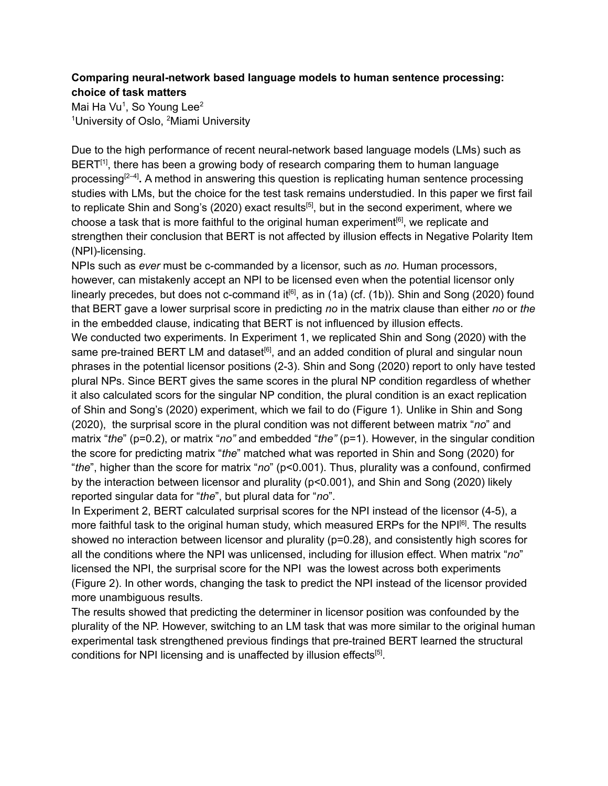## **Comparing neural-network based language models to human sentence processing: choice of task matters**

Mai Ha Vu<sup>1</sup>, So Young Lee<sup>2</sup> <sup>1</sup>University of Oslo, <sup>2</sup>Miami University

Due to the high performance of recent neural-network based language models (LMs) such as  $BERT<sup>[1]</sup>$  $BERT<sup>[1]</sup>$  $BERT<sup>[1]</sup>$ , there has been a growing body of research comparing them to human language processing [\[2–4\]](https://www.zotero.org/google-docs/?MWJNOt) **.** A method in answering this question is replicating human sentence processing studies with LMs, but the choice for the test task remains understudied. In this paper we first fail to replicate Shin and Song's (2020) exact results<sup>[\[5\]](https://www.zotero.org/google-docs/?nL9qec)</sup>, but in the second experiment, where we choose a task that is more faithful to the original human experiment<sup>[\[6\]](https://www.zotero.org/google-docs/?GKbddT)</sup>, we replicate and strengthen their conclusion that BERT is not affected by illusion effects in Negative Polarity Item (NPI)-licensing.

NPIs such as *ever* must be c-commanded by a licensor, such as *no.* Human processors, however, can mistakenly accept an NPI to be licensed even when the potential licensor only linearly precedes, but does not c-command it<sup>[\[6\]](https://www.zotero.org/google-docs/?MfRc7D)</sup>, as in (1a) (cf. (1b)). Shin and Song (2020) found that BERT gave a lower surprisal score in predicting *no* in the matrix clause than either *no* or *the* in the embedded clause, indicating that BERT is not influenced by illusion effects.

We conducted two experiments. In Experiment 1, we replicated Shin and Song (2020) with the same pre-trained BERT LM and dataset<sup>[\[6\]](https://www.zotero.org/google-docs/?18gzxv)</sup>, and an added condition of plural and singular noun phrases in the potential licensor positions (2-3). Shin and Song (2020) report to only have tested plural NPs. Since BERT gives the same scores in the plural NP condition regardless of whether it also calculated scors for the singular NP condition, the plural condition is an exact replication of Shin and Song's (2020) experiment, which we fail to do (Figure 1). Unlike in Shin and Song (2020), the surprisal score in the plural condition was not different between matrix "*no*" and matrix "*the*" (p=0.2), or matrix "*no"* and embedded "*the"* (p=1). However, in the singular condition the score for predicting matrix "*the*" matched what was reported in Shin and Song (2020) for "*the*", higher than the score for matrix "*no*" (p<0.001). Thus, plurality was a confound, confirmed by the interaction between licensor and plurality (p<0.001), and Shin and Song (2020) likely reported singular data for "*the*", but plural data for "*no*".

In Experiment 2, BERT calculated surprisal scores for the NPI instead of the licensor (4-5), a more faithful task to the original human study, which measured ERPs for the NPI<sup>[\[6\]](https://www.zotero.org/google-docs/?r8n993)</sup>. The results showed no interaction between licensor and plurality (p=0.28), and consistently high scores for all the conditions where the NPI was unlicensed, including for illusion effect. When matrix "*no*" licensed the NPI, the surprisal score for the NPI was the lowest across both experiments (Figure 2). In other words, changing the task to predict the NPI instead of the licensor provided more unambiguous results.

The results showed that predicting the determiner in licensor position was confounded by the plurality of the NP. However, switching to an LM task that was more similar to the original human experimental task strengthened previous findings that pre-trained BERT learned the structural conditions for NPI licensing and is unaffected by illusion effects<sup>[\[5\]](https://www.zotero.org/google-docs/?l4bmz7)</sup>.